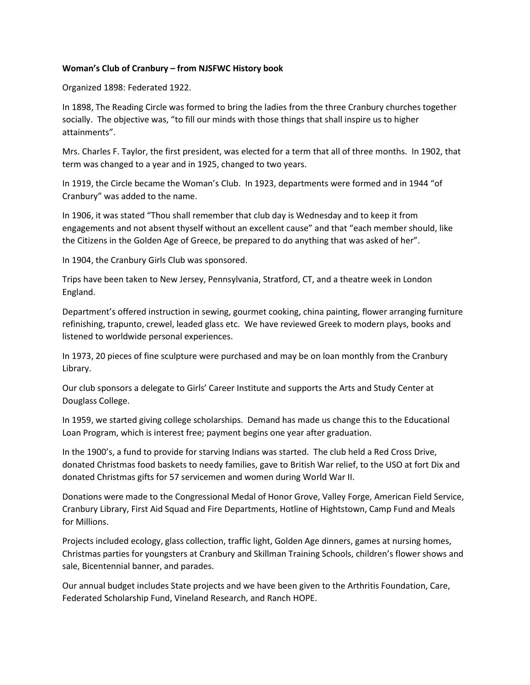## Woman's Club of Cranbury – from NJSFWC History book

Organized 1898: Federated 1922.

In 1898, The Reading Circle was formed to bring the ladies from the three Cranbury churches together socially. The objective was, "to fill our minds with those things that shall inspire us to higher attainments".

Mrs. Charles F. Taylor, the first president, was elected for a term that all of three months. In 1902, that term was changed to a year and in 1925, changed to two years.

In 1919, the Circle became the Woman's Club. In 1923, departments were formed and in 1944 "of Cranbury" was added to the name.

In 1906, it was stated "Thou shall remember that club day is Wednesday and to keep it from engagements and not absent thyself without an excellent cause" and that "each member should, like the Citizens in the Golden Age of Greece, be prepared to do anything that was asked of her".

In 1904, the Cranbury Girls Club was sponsored.

Trips have been taken to New Jersey, Pennsylvania, Stratford, CT, and a theatre week in London England.

Department's offered instruction in sewing, gourmet cooking, china painting, flower arranging furniture refinishing, trapunto, crewel, leaded glass etc. We have reviewed Greek to modern plays, books and listened to worldwide personal experiences.

In 1973, 20 pieces of fine sculpture were purchased and may be on loan monthly from the Cranbury Library.

Our club sponsors a delegate to Girls' Career Institute and supports the Arts and Study Center at Douglass College.

In 1959, we started giving college scholarships. Demand has made us change this to the Educational Loan Program, which is interest free; payment begins one year after graduation.

In the 1900's, a fund to provide for starving Indians was started. The club held a Red Cross Drive, donated Christmas food baskets to needy families, gave to British War relief, to the USO at fort Dix and donated Christmas gifts for 57 servicemen and women during World War II.

Donations were made to the Congressional Medal of Honor Grove, Valley Forge, American Field Service, Cranbury Library, First Aid Squad and Fire Departments, Hotline of Hightstown, Camp Fund and Meals for Millions.

Projects included ecology, glass collection, traffic light, Golden Age dinners, games at nursing homes, Christmas parties for youngsters at Cranbury and Skillman Training Schools, children's flower shows and sale, Bicentennial banner, and parades.

Our annual budget includes State projects and we have been given to the Arthritis Foundation, Care, Federated Scholarship Fund, Vineland Research, and Ranch HOPE.